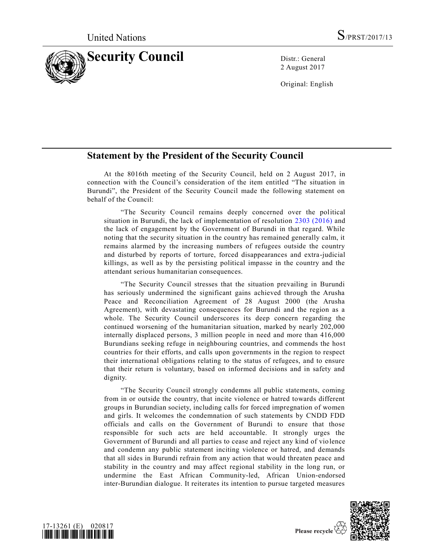

2 August 2017

Original: English

## **Statement by the President of the Security Council**

At the 8016th meeting of the Security Council, held on 2 August 2017, in connection with the Council's consideration of the item entitled "The situation in Burundi", the President of the Security Council made the following statement on behalf of the Council:

"The Security Council remains deeply concerned over the political situation in Burundi, the lack of implementation of resolution [2303 \(2016\)](https://undocs.org/S/RES/2303(2016)) and the lack of engagement by the Government of Burundi in that regard. While noting that the security situation in the country has remained generally calm, it remains alarmed by the increasing numbers of refugees outside the country and disturbed by reports of torture, forced disappearances and extra-judicial killings, as well as by the persisting political impasse in the country and the attendant serious humanitarian consequences.

"The Security Council stresses that the situation prevailing in Burundi has seriously undermined the significant gains achieved through the Arusha Peace and Reconciliation Agreement of 28 August 2000 (the Arusha Agreement), with devastating consequences for Burundi and the region as a whole. The Security Council underscores its deep concern regarding the continued worsening of the humanitarian situation, marked by nearly 202,000 internally displaced persons, 3 million people in need and more than 416,000 Burundians seeking refuge in neighbouring countries, and commends the host countries for their efforts, and calls upon governments in the region to respect their international obligations relating to the status of refugees, and to ensure that their return is voluntary, based on informed decisions and in safety and dignity.

"The Security Council strongly condemns all public statements, coming from in or outside the country, that incite violence or hatred towards different groups in Burundian society, including calls for forced impregnation of women and girls. It welcomes the condemnation of such statements by CNDD FDD officials and calls on the Government of Burundi to ensure that those responsible for such acts are held accountable. It strongly urges the Government of Burundi and all parties to cease and reject any kind of vio lence and condemn any public statement inciting violence or hatred, and demands that all sides in Burundi refrain from any action that would threaten peace and stability in the country and may affect regional stability in the long run, or undermine the East African Community-led, African Union-endorsed inter-Burundian dialogue. It reiterates its intention to pursue targeted measures



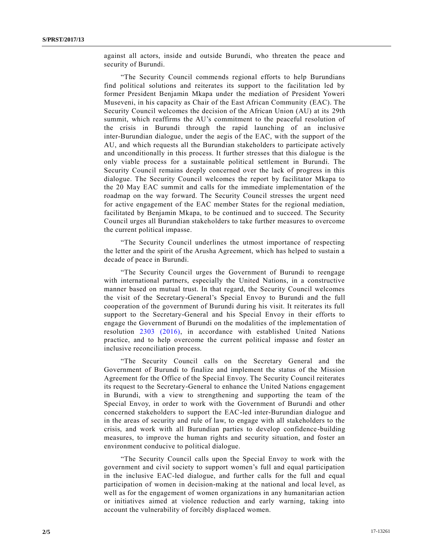against all actors, inside and outside Burundi, who threaten the peace and security of Burundi.

"The Security Council commends regional efforts to help Burundians find political solutions and reiterates its support to the facilitation led by former President Benjamin Mkapa under the mediation of President Yoweri Museveni, in his capacity as Chair of the East African Community (EAC). The Security Council welcomes the decision of the African Union (AU) at its 29th summit, which reaffirms the AU's commitment to the peaceful resolution of the crisis in Burundi through the rapid launching of an inclusive inter-Burundian dialogue, under the aegis of the EAC, with the support of the AU, and which requests all the Burundian stakeholders to participate actively and unconditionally in this process. It further stresses that this dialogue is the only viable process for a sustainable political settlement in Burundi. The Security Council remains deeply concerned over the lack of progress in this dialogue. The Security Council welcomes the report by facilitator Mkapa to the 20 May EAC summit and calls for the immediate implementation of the roadmap on the way forward. The Security Council stresses the urgent need for active engagement of the EAC member States for the regional mediation, facilitated by Benjamin Mkapa, to be continued and to succeed. The Security Council urges all Burundian stakeholders to take further measures to overcome the current political impasse.

"The Security Council underlines the utmost importance of respecting the letter and the spirit of the Arusha Agreement, which has helped to sustain a decade of peace in Burundi.

"The Security Council urges the Government of Burundi to reengage with international partners, especially the United Nations, in a constructive manner based on mutual trust. In that regard, the Security Council welcomes the visit of the Secretary-General's Special Envoy to Burundi and the full cooperation of the government of Burundi during his visit. It reiterates its full support to the Secretary-General and his Special Envoy in their efforts to engage the Government of Burundi on the modalities of the implementation of resolution [2303 \(2016\),](https://undocs.org/S/RES/2303(2016)) in accordance with established United Nations practice, and to help overcome the current political impasse and foster an inclusive reconciliation process.

"The Security Council calls on the Secretary General and the Government of Burundi to finalize and implement the status of the Mission Agreement for the Office of the Special Envoy. The Security Council reiterates its request to the Secretary-General to enhance the United Nations engagement in Burundi, with a view to strengthening and supporting the team of the Special Envoy, in order to work with the Government of Burundi and other concerned stakeholders to support the EAC-led inter-Burundian dialogue and in the areas of security and rule of law, to engage with all stakeholders to the crisis, and work with all Burundian parties to develop confidence -building measures, to improve the human rights and security situation, and foster an environment conducive to political dialogue.

"The Security Council calls upon the Special Envoy to work with the government and civil society to support women's full and equal participation in the inclusive EAC-led dialogue, and further calls for the full and equal participation of women in decision-making at the national and local level, as well as for the engagement of women organizations in any humanitarian action or initiatives aimed at violence reduction and early warning, taking into account the vulnerability of forcibly displaced women.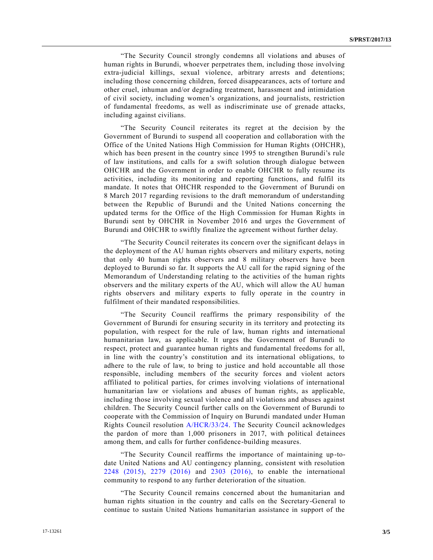"The Security Council strongly condemns all violations and abuses of human rights in Burundi, whoever perpetrates them, including those involving extra-judicial killings, sexual violence, arbitrary arrests and detentions; including those concerning children, forced disappearances, acts of torture and other cruel, inhuman and/or degrading treatment, harassment and intimidation of civil society, including women's organizations, and journalists, restriction of fundamental freedoms, as well as indiscriminate use of grenade attacks, including against civilians.

"The Security Council reiterates its regret at the decision by the Government of Burundi to suspend all cooperation and collaboration with the Office of the United Nations High Commission for Human Rights (OHCHR), which has been present in the country since 1995 to strengthen Burundi's rule of law institutions, and calls for a swift solution through dialogue between OHCHR and the Government in order to enable OHCHR to fully resume its activities, including its monitoring and reporting functions, and fulfil its mandate. It notes that OHCHR responded to the Government of Burundi on 8 March 2017 regarding revisions to the draft memorandum of understanding between the Republic of Burundi and the United Nations concerning the updated terms for the Office of the High Commission for Human Rights in Burundi sent by OHCHR in November 2016 and urges the Government of Burundi and OHCHR to swiftly finalize the agreement without further delay.

"The Security Council reiterates its concern over the significant delays in the deployment of the AU human rights observers and military experts, noting that only 40 human rights observers and 8 military observers have been deployed to Burundi so far. It supports the AU call for the rapid signing of the Memorandum of Understanding relating to the activities of the human rights observers and the military experts of the AU, which will allow the AU human rights observers and military experts to fully operate in the country in fulfilment of their mandated responsibilities.

"The Security Council reaffirms the primary responsibility of the Government of Burundi for ensuring security in its territory and protecting its population, with respect for the rule of law, human rights and international humanitarian law, as applicable. It urges the Government of Burundi to respect, protect and guarantee human rights and fundamental freedoms for all, in line with the country's constitution and its international obligations, to adhere to the rule of law, to bring to justice and hold accountable all those responsible, including members of the security forces and violent actors affiliated to political parties, for crimes involving violations of international humanitarian law or violations and abuses of human rights, as applicable, including those involving sexual violence and all violations and abuses against children. The Security Council further calls on the Government of Burundi to cooperate with the Commission of Inquiry on Burundi mandated under Human Rights Council resolution [A/HCR/33/24.](https://undocs.org/A/HCR/33/24) [Th](https://undocs.org/A/HCR/33/24..)e Security Council acknowledges the pardon of more than 1,000 prisoners in 2017, with political detainees among them, and calls for further confidence-building measures.

"The Security Council reaffirms the importance of maintaining up-todate United Nations and AU contingency planning, consistent with resolution [2248 \(2015\),](https://undocs.org/S/RES/2248(2015)) [2279 \(2016\)](https://undocs.org/S/RES/2279(2016)) and [2303 \(2016\),](https://undocs.org/S/RES/2303(2016)) to enable the international community to respond to any further deterioration of the situation.

"The Security Council remains concerned about the humanitarian and human rights situation in the country and calls on the Secretary-General to continue to sustain United Nations humanitarian assistance in support of the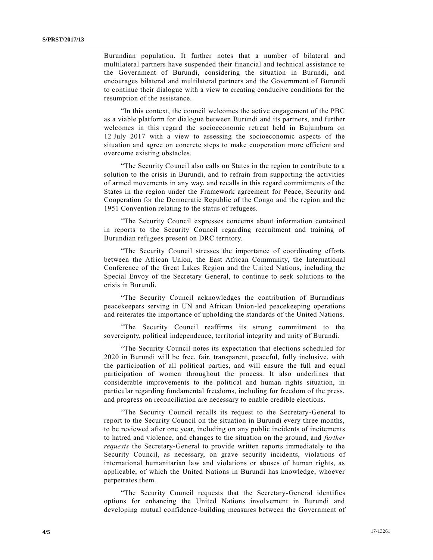Burundian population. It further notes that a number of bilateral and multilateral partners have suspended their financial and technical assistance to the Government of Burundi, considering the situation in Burundi, and encourages bilateral and multilateral partners and the Government of Burundi to continue their dialogue with a view to creating conducive conditions for the resumption of the assistance.

"In this context, the council welcomes the active engagement of the PBC as a viable platform for dialogue between Burundi and its partners, and further welcomes in this regard the socioeconomic retreat held in Bujumbura on 12 July 2017 with a view to assessing the socioeconomic aspects of the situation and agree on concrete steps to make cooperation more efficient and overcome existing obstacles.

"The Security Council also calls on States in the region to contribute to a solution to the crisis in Burundi, and to refrain from supporting the activities of armed movements in any way, and recalls in this regard commitments of the States in the region under the Framework agreement for Peace, Security and Cooperation for the Democratic Republic of the Congo and the region and the 1951 Convention relating to the status of refugees.

"The Security Council expresses concerns about information contained in reports to the Security Council regarding recruitment and training of Burundian refugees present on DRC territory.

"The Security Council stresses the importance of coordinating efforts between the African Union, the East African Community, the International Conference of the Great Lakes Region and the United Nations, including the Special Envoy of the Secretary General, to continue to seek solutions to the crisis in Burundi.

"The Security Council acknowledges the contribution of Burundians peacekeepers serving in UN and African Union-led peacekeeping operations and reiterates the importance of upholding the standards of the United Nations.

"The Security Council reaffirms its strong commitment to the sovereignty, political independence, territorial integrity and unity of Burundi.

"The Security Council notes its expectation that elections scheduled for 2020 in Burundi will be free, fair, transparent, peaceful, fully inclusive, with the participation of all political parties, and will ensure the full and equal participation of women throughout the process. It also underlines that considerable improvements to the political and human rights situation, in particular regarding fundamental freedoms, including for freedom of the press, and progress on reconciliation are necessary to enable credible elections.

"The Security Council recalls its request to the Secretary-General to report to the Security Council on the situation in Burundi every three months, to be reviewed after one year, including on any public incidents of incitements to hatred and violence, and changes to the situation on the ground, and *further requests* the Secretary-General to provide written reports immediately to the Security Council, as necessary, on grave security incidents, violations of international humanitarian law and violations or abuses of human rights, as applicable, of which the United Nations in Burundi has knowledge, whoever perpetrates them.

"The Security Council requests that the Secretary-General identifies options for enhancing the United Nations involvement in Burundi and developing mutual confidence-building measures between the Government of